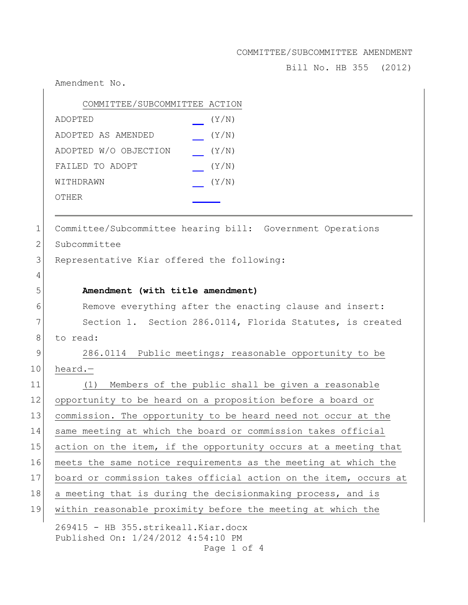Bill No. HB 355 (2012)

Amendment No.

| COMMITTEE/SUBCOMMITTEE ACTION |       |
|-------------------------------|-------|
| ADOPTED                       | (Y/N) |
| ADOPTED AS AMENDED            | (Y/N) |
| ADOPTED W/O OBJECTION         | (Y/N) |
| FAILED TO ADOPT               | (Y/N) |
| WITHDRAWN                     | (Y/N) |
| OTHER                         |       |
|                               |       |

1 Committee/Subcommittee hearing bill: Government Operations

2 Subcommittee

4

3 Representative Kiar offered the following:

## 5 **Amendment (with title amendment)**

6 Remove everything after the enacting clause and insert: 7 Section 1. Section 286.0114, Florida Statutes, is created 8 to read:

9 286.0114 Public meetings; reasonable opportunity to be 10 heard.—

| 11 | Members of the public shall be given a reasonable<br>(1)                        |
|----|---------------------------------------------------------------------------------|
| 12 | opportunity to be heard on a proposition before a board or                      |
| 13 | commission. The opportunity to be heard need not occur at the                   |
| 14 | same meeting at which the board or commission takes official                    |
| 15 | action on the item, if the opportunity occurs at a meeting that                 |
| 16 | meets the same notice requirements as the meeting at which the                  |
| 17 | board or commission takes official action on the item, occurs at                |
| 18 | a meeting that is during the decisionmaking process, and is                     |
| 19 | within reasonable proximity before the meeting at which the                     |
|    | $260115$ IID $255$ at $x_2$ $k$ $s$ <sup>1</sup> $1$ $V_1$ $2x$ $d$ $s$ $s$ $u$ |

269415 - HB 355.strikeall.Kiar.docx Published On: 1/24/2012 4:54:10 PM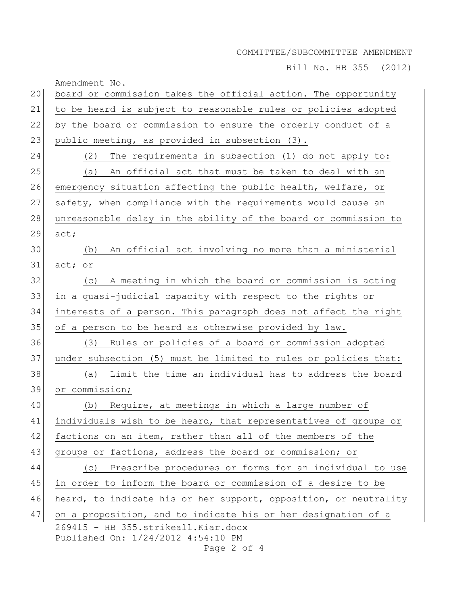Bill No. HB 355 (2012)

| 20 | Amendment No.<br>board or commission takes the official action. The opportunity                                                                            |
|----|------------------------------------------------------------------------------------------------------------------------------------------------------------|
| 21 | to be heard is subject to reasonable rules or policies adopted                                                                                             |
| 22 | by the board or commission to ensure the orderly conduct of a                                                                                              |
| 23 | public meeting, as provided in subsection (3).                                                                                                             |
| 24 | (2)<br>The requirements in subsection (1) do not apply to:                                                                                                 |
| 25 | An official act that must be taken to deal with an<br>(a)                                                                                                  |
| 26 | emergency situation affecting the public health, welfare, or                                                                                               |
| 27 | safety, when compliance with the requirements would cause an                                                                                               |
| 28 | unreasonable delay in the ability of the board or commission to                                                                                            |
| 29 | act;                                                                                                                                                       |
| 30 | An official act involving no more than a ministerial<br>(b)                                                                                                |
| 31 | act;<br>$\circ r$                                                                                                                                          |
| 32 | A meeting in which the board or commission is acting<br>(C)                                                                                                |
| 33 | in a quasi-judicial capacity with respect to the rights or                                                                                                 |
| 34 | interests of a person. This paragraph does not affect the right                                                                                            |
| 35 | of a person to be heard as otherwise provided by law.                                                                                                      |
| 36 | Rules or policies of a board or commission adopted<br>(3)                                                                                                  |
| 37 | under subsection (5) must be limited to rules or policies that:                                                                                            |
| 38 | (a) Limit the time an individual has to address the board                                                                                                  |
| 39 | or commission;                                                                                                                                             |
| 40 | Require, at meetings in which a large number of<br>(b)                                                                                                     |
| 41 | individuals wish to be heard, that representatives of groups or                                                                                            |
| 42 | factions on an item, rather than all of the members of the                                                                                                 |
| 43 | groups or factions, address the board or commission; or                                                                                                    |
| 44 | (c) Prescribe procedures or forms for an individual to use                                                                                                 |
| 45 | in order to inform the board or commission of a desire to be                                                                                               |
| 46 | heard, to indicate his or her support, opposition, or neutrality                                                                                           |
| 47 | on a proposition, and to indicate his or her designation of a<br>269415 - HB 355.strikeall. Kiar.docx<br>Published On: 1/24/2012 4:54:10 PM<br>Page 2 of 4 |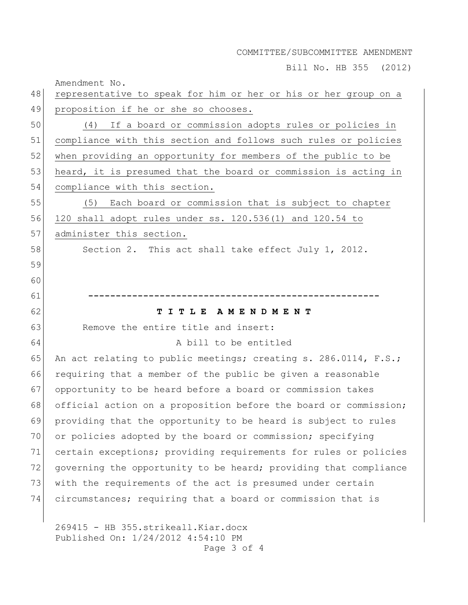Bill No. HB 355 (2012)

Amendment No.

| 48 | representative to speak for him or her or his or her group on a  |
|----|------------------------------------------------------------------|
| 49 | proposition if he or she so chooses.                             |
| 50 | If a board or commission adopts rules or policies in<br>(4)      |
| 51 | compliance with this section and follows such rules or policies  |
| 52 | when providing an opportunity for members of the public to be    |
| 53 | heard, it is presumed that the board or commission is acting in  |
| 54 | compliance with this section.                                    |
| 55 | Each board or commission that is subject to chapter<br>(5)       |
| 56 | 120 shall adopt rules under ss. 120.536(1) and 120.54 to         |
| 57 | administer this section.                                         |
| 58 | Section 2. This act shall take effect July 1, 2012.              |
| 59 |                                                                  |
| 60 |                                                                  |
| 61 |                                                                  |
| 62 | TITLE AMENDMENT                                                  |
| 63 | Remove the entire title and insert:                              |
| 64 | A bill to be entitled                                            |
| 65 | An act relating to public meetings; creating s. 286.0114, F.S.;  |
| 66 | requiring that a member of the public be given a reasonable      |
| 67 | opportunity to be heard before a board or commission takes       |
| 68 | official action on a proposition before the board or commission; |
| 69 | providing that the opportunity to be heard is subject to rules   |
| 70 | or policies adopted by the board or commission; specifying       |
| 71 | certain exceptions; providing requirements for rules or policies |
| 72 | governing the opportunity to be heard; providing that compliance |
| 73 | with the requirements of the act is presumed under certain       |
| 74 | circumstances; requiring that a board or commission that is      |
|    |                                                                  |
|    | $260115$ IID $255$ at $x + 150011$ $V_{12}x$ dogs                |

269415 - HB 355.strikeall.Kiar.docx Published On: 1/24/2012 4:54:10 PM Page 3 of 4